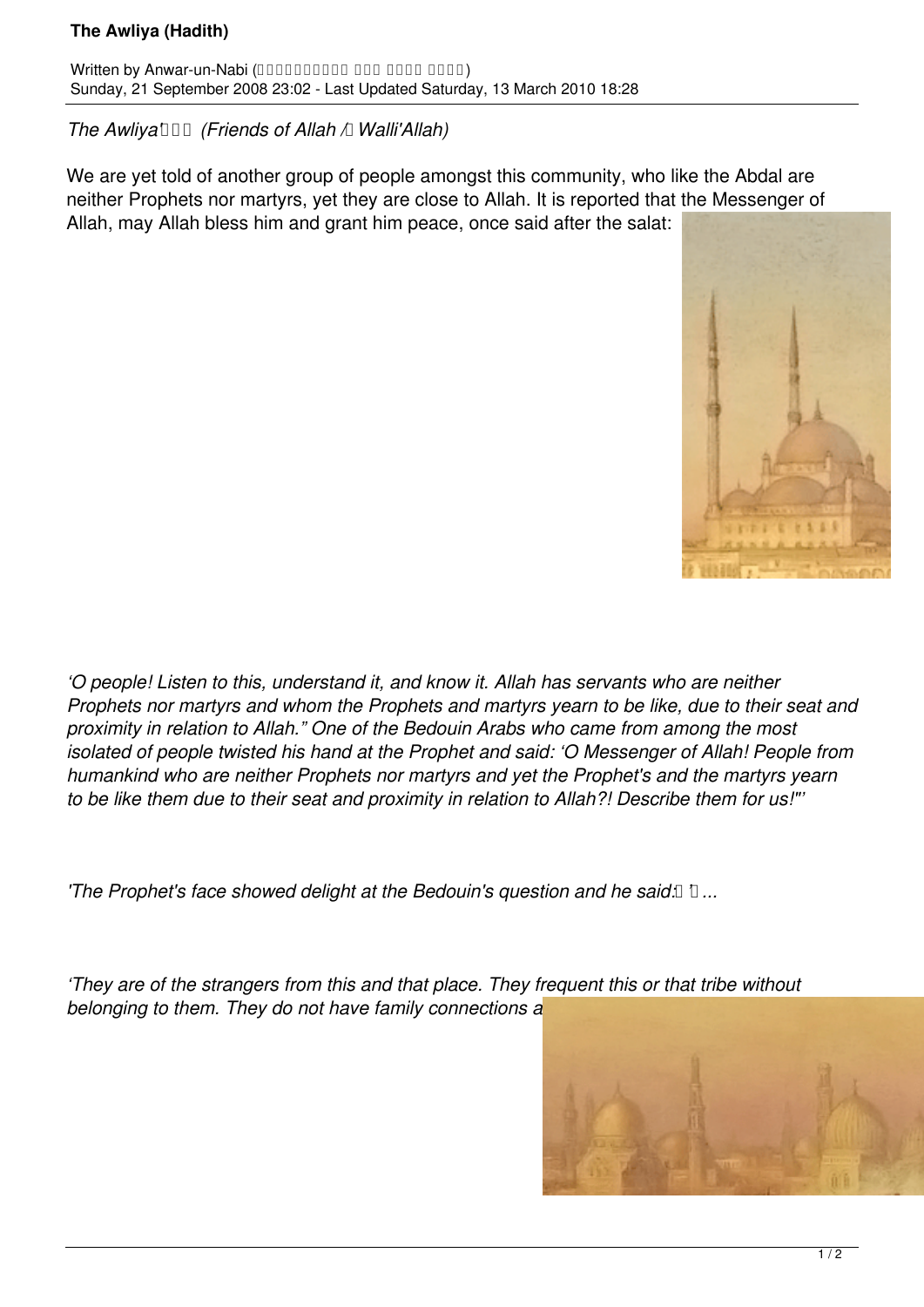## **The Awliya (Hadith)**

Written by Anwar-un-Nabi (0000000000 000 0000 0000) Sunday, 21 September 2008 23:02 - Last Updated Saturday, 13 March 2010 18:28

## *The Awliya*  $\Box$  (Friends of Allah  $\Box$  Walli'Allah)

We are yet told of another group of people amongst this community, who like the Abdal are neither Prophets nor martyrs, yet they are close to Allah. It is reported that the Messenger of Allah, may Allah bless him and grant him peace, once said after the salat:



*'O people! Listen to this, understand it, and know it. Allah has servants who are neither Prophets nor martyrs and whom the Prophets and martyrs yearn to be like, due to their seat and proximity in relation to Allah." One of the Bedouin Arabs who came from among the most isolated of people twisted his hand at the Prophet and said: 'O Messenger of Allah! People from humankind who are neither Prophets nor martyrs and yet the Prophet's and the martyrs yearn to be like them due to their seat and proximity in relation to Allah?! Describe them for us!"'*

**The Prophet's face showed delight at the Bedouin's question and he said: 1 ...** 

*'They are of the strangers from this and that place. They frequent this or that tribe without belonging to them. They do not have family connections a*